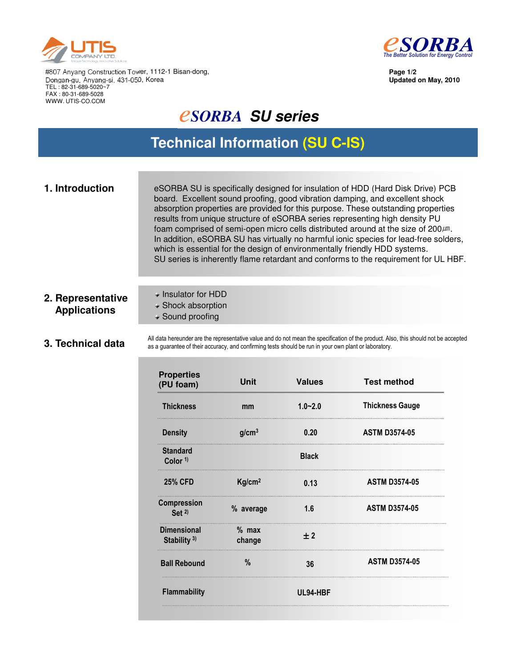



**Page 1/2 Updated on May, 2010**

#807 Anyang Construction Tower, 1112-1 Bisan-dong, Dongan-gu, Anyang-si, 431-050, Korea TEL : 82-31-689-5020~7 FAX : 80-31-689-5028 WWW. UTIS-CO.COM

# *<u>CSORBA</u>* SU series

# **Technical Information (SU C-IS)**

| 1. Introduction | eSORBA SU is specifically designed for insulation of HDD (Hard Disk Drive) PCB<br>board. Excellent sound proofing, good vibration damping, and excellent shock<br>absorption properties are provided for this purpose. These outstanding properties<br>results from unique structure of eSORBA series representing high density PU<br>foam comprised of semi-open micro cells distributed around at the size of 200µm.<br>In addition, eSORBA SU has virtually no harmful ionic species for lead-free solders,<br>which is essential for the design of environmentally friendly HDD systems. |
|-----------------|----------------------------------------------------------------------------------------------------------------------------------------------------------------------------------------------------------------------------------------------------------------------------------------------------------------------------------------------------------------------------------------------------------------------------------------------------------------------------------------------------------------------------------------------------------------------------------------------|
|                 | SU series is inherently flame retardant and conforms to the requirement for UL HBF.                                                                                                                                                                                                                                                                                                                                                                                                                                                                                                          |

### **2. Representative Applications**

- Insulator for HDD
- Shock absorption
- Sound proofing

#### **3. Technical data**

All data hereunder are the representative value and do not mean the specification of the product. Also, this should not be accepted as a guarantee of their accuracy, and confirming tests should be run in your own plant or laboratory.

| <b>Properties</b><br>(PU foam)         | <b>Unit</b>        | <b>Values</b> | <b>Test method</b>     |  |
|----------------------------------------|--------------------|---------------|------------------------|--|
| <b>Thickness</b>                       | mm                 | $1.0 - 2.0$   | <b>Thickness Gauge</b> |  |
| <b>Density</b>                         | g/cm <sup>3</sup>  | 0.20          | <b>ASTM D3574-05</b>   |  |
| <b>Standard</b><br>Color <sup>1)</sup> |                    | <b>Black</b>  |                        |  |
| <b>25% CFD</b>                         | Kg/cm <sup>2</sup> | 0.13          | <b>ASTM D3574-05</b>   |  |
| <b>Compression</b><br>Set $2$          | % average          | 1.6           | <b>ASTM D3574-05</b>   |  |
| <b>Dimensional</b><br>Stability $3$ )  | $%$ max<br>change  | ±2            |                        |  |
| <b>Ball Rebound</b>                    | %                  | 36            | <b>ASTM D3574-05</b>   |  |
| Flammability                           | UL94-HBF           |               |                        |  |